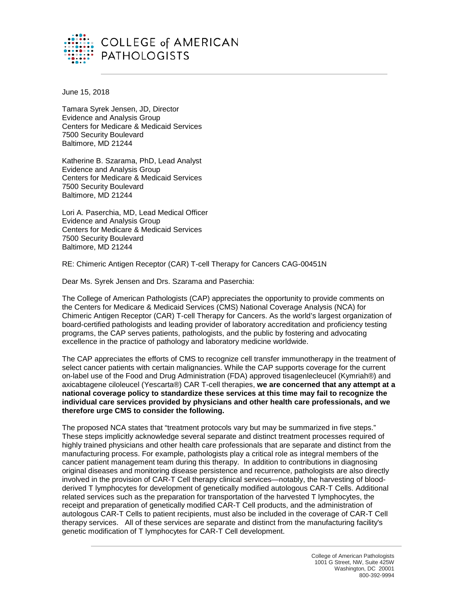

June 15, 2018

Tamara Syrek Jensen, JD, Director Evidence and Analysis Group Centers for Medicare & Medicaid Services 7500 Security Boulevard Baltimore, MD 21244

Katherine B. Szarama, PhD, Lead Analyst Evidence and Analysis Group Centers for Medicare & Medicaid Services 7500 Security Boulevard Baltimore, MD 21244

Lori A. Paserchia, MD, Lead Medical Officer Evidence and Analysis Group Centers for Medicare & Medicaid Services 7500 Security Boulevard Baltimore, MD 21244

RE: Chimeric Antigen Receptor (CAR) T-cell Therapy for Cancers CAG-00451N

Dear Ms. Syrek Jensen and Drs. Szarama and Paserchia:

The College of American Pathologists (CAP) appreciates the opportunity to provide comments on the Centers for Medicare & Medicaid Services (CMS) National Coverage Analysis (NCA) for Chimeric Antigen Receptor (CAR) T-cell Therapy for Cancers. As the world's largest organization of board-certified pathologists and leading provider of laboratory accreditation and proficiency testing programs, the CAP serves patients, pathologists, and the public by fostering and advocating excellence in the practice of pathology and laboratory medicine worldwide.

The CAP appreciates the efforts of CMS to recognize cell transfer immunotherapy in the treatment of select cancer patients with certain malignancies. While the CAP supports coverage for the current on-label use of the Food and Drug Administration (FDA) approved tisagenlecleucel (Kymriah®) and axicabtagene ciloleucel (Yescarta®) CAR T-cell therapies, **we are concerned that any attempt at a national coverage policy to standardize these services at this time may fail to recognize the individual care services provided by physicians and other health care professionals, and we therefore urge CMS to consider the following.**

The proposed NCA states that "treatment protocols vary but may be summarized in five steps." These steps implicitly acknowledge several separate and distinct treatment processes required of highly trained physicians and other health care professionals that are separate and distinct from the manufacturing process. For example, pathologists play a critical role as integral members of the cancer patient management team during this therapy. In addition to contributions in diagnosing original diseases and monitoring disease persistence and recurrence, pathologists are also directly involved in the provision of CAR-T Cell therapy clinical services—notably, the harvesting of bloodderived T lymphocytes for development of genetically modified autologous CAR-T Cells. Additional related services such as the preparation for transportation of the harvested T lymphocytes, the receipt and preparation of genetically modified CAR-T Cell products, and the administration of autologous CAR-T Cells to patient recipients, must also be included in the coverage of CAR-T Cell therapy services. All of these services are separate and distinct from the manufacturing facility's genetic modification of T lymphocytes for CAR-T Cell development.